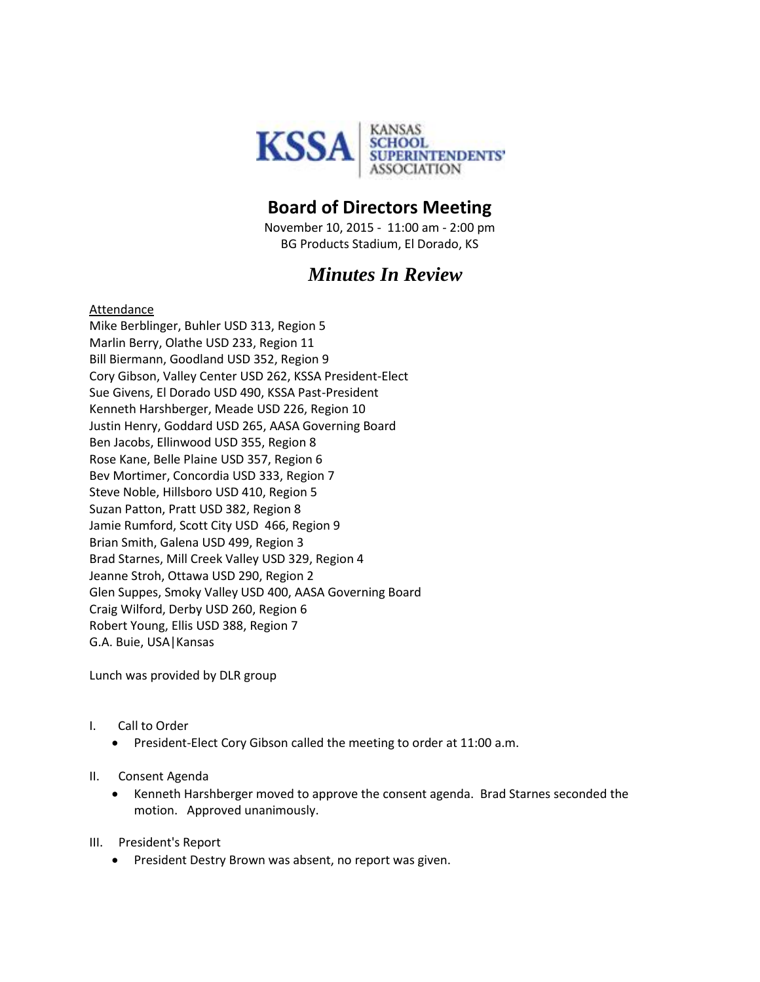

## **Board of Directors Meeting**

November 10, 2015 - 11:00 am - 2:00 pm BG Products Stadium, El Dorado, KS

# *Minutes In Review*

#### Attendance

Mike Berblinger, Buhler USD 313, Region 5 Marlin Berry, Olathe USD 233, Region 11 Bill Biermann, Goodland USD 352, Region 9 Cory Gibson, Valley Center USD 262, KSSA President-Elect Sue Givens, El Dorado USD 490, KSSA Past-President Kenneth Harshberger, Meade USD 226, Region 10 Justin Henry, Goddard USD 265, AASA Governing Board Ben Jacobs, Ellinwood USD 355, Region 8 Rose Kane, Belle Plaine USD 357, Region 6 Bev Mortimer, Concordia USD 333, Region 7 Steve Noble, Hillsboro USD 410, Region 5 Suzan Patton, Pratt USD 382, Region 8 Jamie Rumford, Scott City USD 466, Region 9 Brian Smith, Galena USD 499, Region 3 Brad Starnes, Mill Creek Valley USD 329, Region 4 Jeanne Stroh, Ottawa USD 290, Region 2 Glen Suppes, Smoky Valley USD 400, AASA Governing Board Craig Wilford, Derby USD 260, Region 6 Robert Young, Ellis USD 388, Region 7 G.A. Buie, USA|Kansas

Lunch was provided by DLR group

- I. Call to Order
	- President-Elect Cory Gibson called the meeting to order at 11:00 a.m.
- II. Consent Agenda
	- Kenneth Harshberger moved to approve the consent agenda. Brad Starnes seconded the motion. Approved unanimously.
- III. President's Report
	- President Destry Brown was absent, no report was given.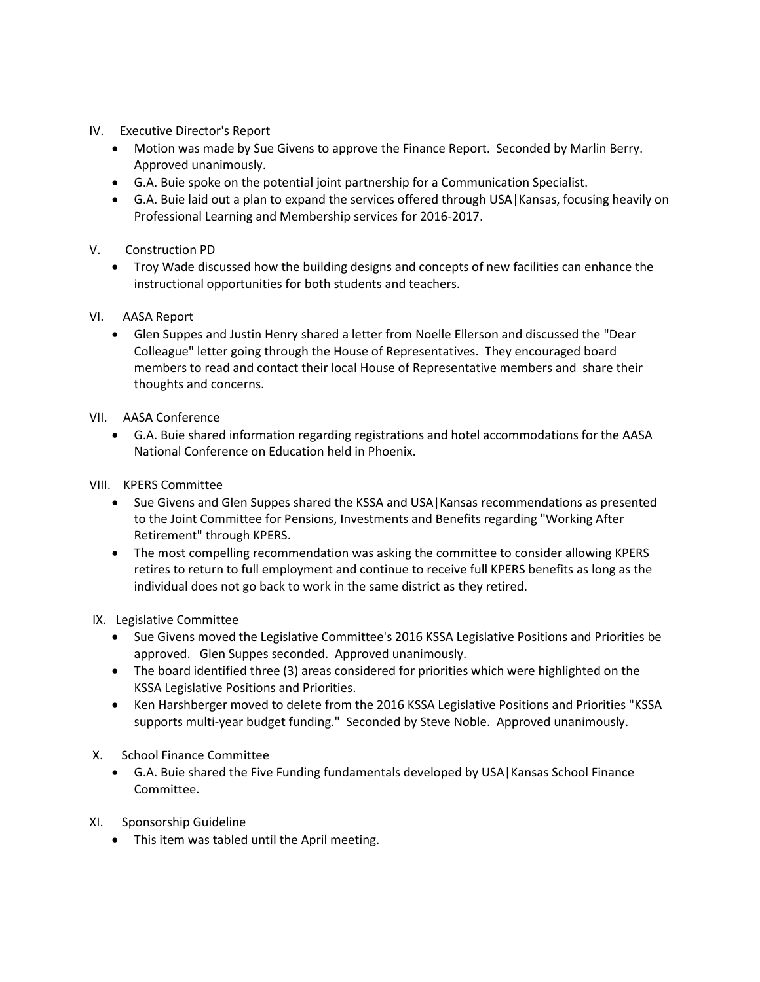- IV. Executive Director's Report
	- Motion was made by Sue Givens to approve the Finance Report. Seconded by Marlin Berry. Approved unanimously.
	- G.A. Buie spoke on the potential joint partnership for a Communication Specialist.
	- G.A. Buie laid out a plan to expand the services offered through USA|Kansas, focusing heavily on Professional Learning and Membership services for 2016-2017.
- V. Construction PD
	- Troy Wade discussed how the building designs and concepts of new facilities can enhance the instructional opportunities for both students and teachers.
- VI. AASA Report
	- Glen Suppes and Justin Henry shared a letter from Noelle Ellerson and discussed the "Dear Colleague" letter going through the House of Representatives. They encouraged board members to read and contact their local House of Representative members and share their thoughts and concerns.
- VII. AASA Conference
	- G.A. Buie shared information regarding registrations and hotel accommodations for the AASA National Conference on Education held in Phoenix.
- VIII. KPERS Committee
	- Sue Givens and Glen Suppes shared the KSSA and USA | Kansas recommendations as presented to the Joint Committee for Pensions, Investments and Benefits regarding "Working After Retirement" through KPERS.
	- The most compelling recommendation was asking the committee to consider allowing KPERS retires to return to full employment and continue to receive full KPERS benefits as long as the individual does not go back to work in the same district as they retired.
- IX. Legislative Committee
	- Sue Givens moved the Legislative Committee's 2016 KSSA Legislative Positions and Priorities be approved. Glen Suppes seconded. Approved unanimously.
	- The board identified three (3) areas considered for priorities which were highlighted on the KSSA Legislative Positions and Priorities.
	- Ken Harshberger moved to delete from the 2016 KSSA Legislative Positions and Priorities "KSSA supports multi-year budget funding." Seconded by Steve Noble. Approved unanimously.
- X. School Finance Committee
	- G.A. Buie shared the Five Funding fundamentals developed by USA|Kansas School Finance Committee.
- XI. Sponsorship Guideline
	- This item was tabled until the April meeting.